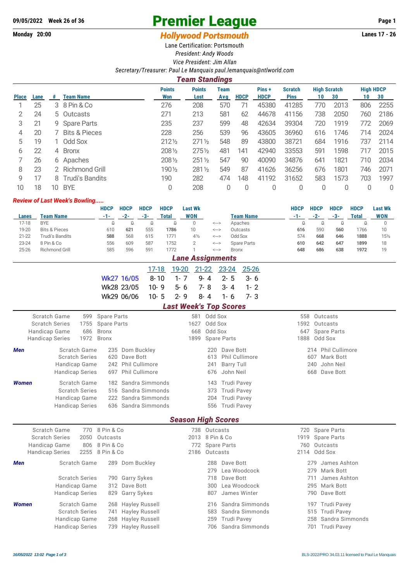## 09/05/2022 Week 26 of 36 **Premier League** Page 1

## **Monday 20:00** *Hollywood Portsmouth* **Lanes 17 - 26**

Lane Certification: Portsmouth

*President: Andy Woods Vice President: Jim Allan*

*Secretary/Treasurer: Paul Le Manquais [paul.lemanquais@ntlworld.com](mailto:paul.lemanquais@ntlworld.com)*

| <b>Team Standings</b> |                               |    |                          |                      |                       |             |             |                      |                               |                           |      |                        |      |
|-----------------------|-------------------------------|----|--------------------------|----------------------|-----------------------|-------------|-------------|----------------------|-------------------------------|---------------------------|------|------------------------|------|
| Place                 | <b>Team Name</b><br>Lane<br># |    |                          | <b>Points</b><br>Won | <b>Points</b><br>Lost | Team<br>Avg | <b>HDCP</b> | Pins+<br><b>HDCP</b> | <b>Scratch</b><br><b>Pins</b> | <b>High Scratch</b><br>10 | 30   | <b>High HDCP</b><br>10 | 30   |
|                       | 25                            |    | 3 8 Pin & Co             | 276                  | 208                   | 570         | 71          | 45380                | 41285                         | 770                       | 2013 | 806                    | 2255 |
|                       | 24                            |    | 5 Outcasts               | 271                  | 213                   | 581         | 62          | 44678                | 41156                         | 738                       | 2050 | 760                    | 2186 |
| 3                     | 21                            |    | 9 Spare Parts            | 235                  | 237                   | 599         | 48          | 42634                | 39304                         | 720                       | 1919 | 772                    | 2069 |
| 4                     | 20                            |    | <b>Bits &amp; Pieces</b> | 228                  | 256                   | 539         | 96          | 43605                | 36960                         | 616                       | 1746 | 714                    | 2024 |
| 5                     | 19                            |    | Odd Sox                  | 2121/2               | $271\frac{1}{2}$      | 548         | 89          | 43800                | 38721                         | 684                       | 1916 | 737                    | 2114 |
| 6                     | 22                            | 4  | <b>Bronx</b>             | 2081/2               | $275\%$               | 481         | 141         | 42940                | 33553                         | 591                       | 1598 | 717                    | 2015 |
|                       | 26                            |    | 6 Apaches                | 2081/2               | $251\%$               | 547         | 90          | 40090                | 34876                         | 641                       | 1821 | 710                    | 2034 |
| 8                     | 23                            | 2  | Richmond Grill           | 1901/2               | 2811/2                | 549         | 87          | 41626                | 36256                         | 676                       | 1801 | 746                    | 2071 |
| 9                     | 17                            | 8  | <b>Trudi's Bandits</b>   | 190                  | 282                   | 474         | 148         | 41192                | 31652                         | 583                       | 1573 | 703                    | 1997 |
| 10                    | 18                            | 10 | <b>BYE</b>               | 0                    | 208                   | 0           | $\Omega$    | 0                    | 0                             | 0                         | 0    | 0                      | 0    |

## *Review of Last Week's Bowling.....*

|                                           |                          |              | <b>HDCP</b>        | <b>HDCP</b> | <b>HDCP</b> | <b>HDCP</b>  | <b>Last Wk</b>                |         |                                     |                  |         | <b>HDCP</b> | <b>HDCP</b>      | <b>HDCP</b>   | <b>HDCP</b>        | <b>Last Wk</b> |                 |  |
|-------------------------------------------|--------------------------|--------------|--------------------|-------------|-------------|--------------|-------------------------------|---------|-------------------------------------|------------------|---------|-------------|------------------|---------------|--------------------|----------------|-----------------|--|
| Lanes                                     | <b>Team Name</b>         |              | -1-                | $-2-$       | $-3-$       | <b>Total</b> | <b>WON</b>                    |         |                                     | <b>Team Name</b> |         |             | $-1-$            | $-2-$         | $-3-$              | Total          | <b>WON</b>      |  |
| $17 - 18$                                 | <b>BYE</b>               |              | 0                  | $\Omega$    | 0           | $\Omega$     | $\Omega$                      |         | $\left\langle \cdots \right\rangle$ | Apaches          |         |             | $\Omega$         | $\Omega$      | $\Omega$           | $\Omega$       | $\Omega$        |  |
| 19-20                                     | <b>Bits &amp; Pieces</b> |              | 610                | 621         | 555         | 1786         | 10                            |         | $\leftarrow$                        | Outcasts         |         |             | 616              | 590           | 560                | 1766           | 10              |  |
| $21 - 22$                                 | Trudi's Bandits          |              | 588                | 568         | 615         | 1771         | $4\frac{1}{2}$                |         | $\leftarrow$                        | Odd Sox          |         |             | 574              | 668           | 646                | 1888           | $15\frac{1}{2}$ |  |
| 23-24                                     | 8 Pin & Co               |              | 556                | 609         | 587         | 1752         | $\overline{2}$                |         | $\Longleftrightarrow$               | Spare Parts      |         |             | 610              | 642           | 647                | 1899           | 18              |  |
| $25 - 26$                                 | Richmond Grill           |              | 585                | 596         | 591         | 1772         |                               |         | $\Longleftrightarrow$               | <b>Bronx</b>     |         |             | 648              | 686           | 638                | 1972           | 19              |  |
|                                           | <b>Lane Assignments</b>  |              |                    |             |             |              |                               |         |                                     |                  |         |             |                  |               |                    |                |                 |  |
|                                           |                          |              |                    |             | 17-18       |              | 19-20                         | 21-22   | 23-24                               |                  | 25-26   |             |                  |               |                    |                |                 |  |
| Wk27 16/05                                |                          |              |                    | $8 - 10$    | $1 - 7$     | 9-4          | $2 - 5$                       |         | $3 - 6$                             |                  |         |             |                  |               |                    |                |                 |  |
|                                           |                          |              |                    | Wk28 23/05  |             | $10 - 9$     | $5 - 6$                       | $7 - 8$ | $3 - 4$                             |                  | $1 - 2$ |             |                  |               |                    |                |                 |  |
|                                           |                          |              |                    | Wk29 06/06  |             | $10 - 5$     | $2 - 9$                       | $8 - 4$ | $1 - 6$                             |                  | $7 - 3$ |             |                  |               |                    |                |                 |  |
|                                           |                          |              |                    |             |             |              | <b>Last Week's Top Scores</b> |         |                                     |                  |         |             |                  |               |                    |                |                 |  |
|                                           | Scratch Game             | 599          | <b>Spare Parts</b> |             |             |              | 581                           |         | Odd Sox                             |                  |         |             | 558              | Outcasts      |                    |                |                 |  |
|                                           | <b>Scratch Series</b>    | 1755         | <b>Spare Parts</b> |             |             |              | 1627                          |         | Odd Sox                             |                  |         |             |                  | 1592 Outcasts |                    |                |                 |  |
|                                           | Handicap Game            | 686          | <b>Bronx</b>       |             |             |              | Odd Sox<br>668                |         |                                     |                  |         |             | 647              |               | <b>Spare Parts</b> |                |                 |  |
|                                           | <b>Handicap Series</b>   | 1972         | <b>Bronx</b>       |             |             |              | 1899                          |         | <b>Spare Parts</b>                  |                  |         |             |                  | 1888 Odd Sox  |                    |                |                 |  |
| Men                                       |                          | Scratch Game | 235                |             | Dom Buckley |              |                               | 220     |                                     | Dave Bott        |         |             |                  |               | 214 Phil Cullimore |                |                 |  |
| <b>Scratch Series</b><br>620<br>Dave Bott |                          |              |                    |             |             |              | <b>Phil Cullimore</b><br>613  |         |                                     |                  |         |             | Mark Bott<br>607 |               |                    |                |                 |  |

|              | 00100011001100                     |                                     | 0 1 0 1 1 1 1 1 1 1 0 1 1 1 1 1 1 1 0 1 0 |               |
|--------------|------------------------------------|-------------------------------------|-------------------------------------------|---------------|
|              | Handicap Game 242 Phil Cullimore   |                                     | 241 Barry Tull                            | 240 John Neil |
|              | Handicap Series 697 Phil Cullimore |                                     | 676 John Neil                             | 668 Dave Bott |
| <b>Women</b> | Scratch Game                       | 182 Sandra Simmonds                 | 143 Trudi Pavey                           |               |
|              | <b>Scratch Series</b>              | 516 Sandra Simmonds                 | 373 Trudi Pavey                           |               |
|              | Handicap Game                      | 222 Sandra Simmonds                 | 204 Trudi Pavey                           |               |
|              |                                    | Handicap Series 636 Sandra Simmonds | 556 Trudi Pavey                           |               |
|              |                                    |                                     |                                           |               |

## *Season High Scores*

|              | Scratch Game<br><b>Scratch Series</b><br>Handicap Game<br><b>Handicap Series</b> | 2050 | 770 8 Pin & Co<br>Outcasts<br>806 8 Pin & Co<br>2255 8 Pin & Co |                                                                                      | 738 Outcasts<br>2013 8 Pin & Co<br>772 Spare Parts<br>2186 Outcasts |                                                                                      | 720 Spare Parts<br>1919 Spare Parts<br>760 Outcasts<br>2114 Odd Sox          |  |
|--------------|----------------------------------------------------------------------------------|------|-----------------------------------------------------------------|--------------------------------------------------------------------------------------|---------------------------------------------------------------------|--------------------------------------------------------------------------------------|------------------------------------------------------------------------------|--|
| Men          | <b>Scratch Game</b><br><b>Scratch Series</b>                                     |      |                                                                 | 289 Dom Buckley<br>790 Garry Sykes                                                   |                                                                     | 288 Dave Bott<br>279 Lea Woodcock<br>718 Dave Bott                                   | 279 James Ashton<br>279 Mark Bott<br>711 James Ashton                        |  |
|              | Handicap Game<br><b>Handicap Series</b>                                          |      |                                                                 | 312 Dave Bott<br>829 Garry Sykes                                                     | 807                                                                 | 300 Lea Woodcock<br>James Winter                                                     | 295 Mark Bott<br>790 Dave Bott                                               |  |
| <b>Women</b> | Scratch Game<br><b>Scratch Series</b><br>Handicap Game<br><b>Handicap Series</b> |      |                                                                 | 268 Hayley Russell<br>741 Hayley Russell<br>268 Hayley Russell<br>739 Hayley Russell |                                                                     | 216 Sandra Simmonds<br>583 Sandra Simmonds<br>259 Trudi Pavey<br>706 Sandra Simmonds | 197 Trudi Pavey<br>515 Trudi Pavey<br>258 Sandra Simmonds<br>701 Trudi Pavey |  |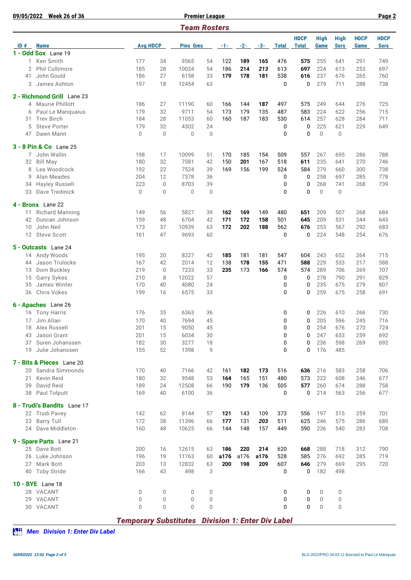| 09/05/2022 | <b>Week 26 of 36</b>               |                                                          |              |                     | <b>Premier League</b> |       |       |       |              |              |              |             |             | Page 2      |
|------------|------------------------------------|----------------------------------------------------------|--------------|---------------------|-----------------------|-------|-------|-------|--------------|--------------|--------------|-------------|-------------|-------------|
|            |                                    |                                                          |              | <b>Team Rosters</b> |                       |       |       |       |              |              |              |             |             |             |
|            |                                    |                                                          |              |                     |                       |       |       |       | <b>HDCP</b>  | <b>High</b>  | <b>High</b>  | <b>HDCP</b> | <b>HDCP</b> |             |
| ID#        | <b>Name</b><br>1 - Odd Sox Lane 19 | <b>Avg HDCP</b>                                          |              | <b>Pins Gms</b>     |                       | $-1-$ | $-2-$ | $-3-$ | <b>Total</b> | <b>Total</b> | Game         | <b>Sers</b> | Game        | <b>Sers</b> |
| 1          | Ken Smith                          | 177                                                      | 34           | 9565                | 54                    | 122   | 189   | 165   | 476          | 575          | 255          | 641         | 291         | 749         |
| 2          | Phil Cullimore                     | 185                                                      | 28           | 10034               | 54                    | 186   | 214   | 213   | 613          | 697          | 224          | 613         | 253         | 697         |
| 41         | John Gould                         | 186                                                      | 27           | 6158                | 33                    | 179   | 178   | 181   | 538          | 616          | 237          | 676         | 265         | 760         |
| 3          | James Ashton                       | 197                                                      | 18           | 12454               | 63                    |       |       |       | $\mathbf 0$  | 0            | 279          | 711         | 288         | 738         |
|            |                                    |                                                          |              |                     |                       |       |       |       |              |              |              |             |             |             |
|            | 2 - Richmond Grill Lane 23         |                                                          |              |                     |                       |       |       |       |              |              |              |             |             |             |
| 4          | <b>Maurie Phillott</b>             | 186                                                      | 27           | 11190               | 60                    | 166   | 144   | 187   | 497          | 575          | 249          | 644         | 276         | 725         |
| 6          | Paul Le Manquaius                  | 179                                                      | 32           | 9711                | 54                    | 173   | 179   | 135   | 487          | 583          | 224          | 622         | 256         | 715         |
| 31         | <b>Trev Birch</b>                  | 184                                                      | 28           | 11053               | 60                    | 160   | 187   | 183   | 530          | 614          | 257          | 628         | 284         | 711         |
| 5          | <b>Steve Porter</b>                | 179                                                      | 32           | 4302                | 24                    |       |       |       | 0            | 0            | 225          | 621         | 229         | 649         |
| 47         | Dawn Mann                          | $\mathbf 0$                                              | $\Omega$     | $\mathbf{0}$        | $\mathbf{0}$          |       |       |       | $\mathbf{0}$ | 0            | $\mathbf{0}$ | $\mathbf 0$ |             |             |
|            | 3 - 8 Pin & Co Lane 25             |                                                          |              |                     |                       |       |       |       |              |              |              |             |             |             |
| 7          | John Wallin                        | 198                                                      | 17           | 10099               | 51                    | 170   | 185   | 154   | 509          | 557          | 267          | 695         | 286         | 788         |
| 32         | <b>Bill May</b>                    | 180                                                      | 32           | 7581                | 42                    | 150   | 201   | 167   | 518          | 611          | 235          | 641         | 270         | 746         |
| 8          | Lea Woodcock                       | 192                                                      | 22           | 7524                | 39                    | 169   | 156   | 199   | 524          | 584          | 279          | 660         | 300         | 738         |
| 9          | Alan Meades                        | 204                                                      | 12           | 7378                | 36                    |       |       |       | 0            | 0            | 258          | 697         | 285         | 778         |
| 34         | Hayley Russell                     | 223                                                      | $\mathbf{0}$ | 8703                | 39                    |       |       |       | $\mathbf{0}$ | 0            | 268          | 741         | 268         | 739         |
| 33         | Dave Tredinick                     | $\mathbf 0$                                              | 0            | $\mathbf{0}$        | $\mathbf 0$           |       |       |       | $\mathbf{0}$ | 0            | $\mathbf{0}$ | $\mathbf 0$ |             |             |
|            |                                    |                                                          |              |                     |                       |       |       |       |              |              |              |             |             |             |
|            | 4 - Bronx Lane 22                  |                                                          |              |                     |                       |       |       |       |              |              |              |             |             |             |
| 11         | <b>Richard Manning</b>             | 149                                                      | 56           | 5827                | 39                    | 162   | 169   | 149   | 480          | 651          | 209          | 507         | 268         | 684         |
| 42         | Duncan Johnson                     | 159                                                      | 48           | 6704                | 42                    | 171   | 172   | 158   | 501          | 645          | 209          | 531         | 244         | 645         |
| 10         | John Neil                          | 173                                                      | 37           | 10939               | 63                    | 172   | 202   | 188   | 562          | 676          | 253          | 567         | 292         | 683         |
|            | 12 Steve Scott                     | 161                                                      | 47           | 9693                | 60                    |       |       |       | $\mathbf 0$  | 0            | 224          | 548         | 254         | 676         |
|            | 5 - Outcasts Lane 24               |                                                          |              |                     |                       |       |       |       |              |              |              |             |             |             |
|            | 14 Andy Woods                      | 195                                                      | 20           | 8227                | 42                    | 185   | 181   | 181   | 547          | 604          | 243          | 652         | 264         | 715         |
| 44         | Jason Trulocke                     | 167                                                      | 42           | 2014                | 12                    | 138   | 178   | 155   | 471          | 588          | 229          | 533         | 217         | 588         |
| 13         | Dom Buckley                        | 219                                                      | $\mathbf 0$  | 7233                | 33                    | 235   | 173   | 166   | 574          | 574          | 289          | 706         | 269         | 707         |
| 15         | Garry Sykes                        | 210                                                      | 8            | 12022               | 57                    |       |       |       | 0            | 0            | 278          | 790         | 291         | 829         |
| 35         | James Winter                       | 170                                                      | 40           | 4080                | 24                    |       |       |       | 0            | 0            | 235          | 675         | 279         | 807         |
| 36         | Chris Vokes                        | 199                                                      | 16           | 6575                | 33                    |       |       |       | 0            | 0            | 259          | 675         | 258         | 691         |
|            | 6 - Apaches Lane 26                |                                                          |              |                     |                       |       |       |       |              |              |              |             |             |             |
|            | 16 Tony Harris                     | 176                                                      | 35           | 6363                | 36                    |       |       |       | 0            | 0            | 226          | 610         | 266         | 730         |
|            | 17 Jim Allan                       | 170                                                      | 40           | 7694                | 45                    |       |       |       | 0            | 0            | 205          | 596         | 245         | 716         |
| 18         | Alex Russell                       | 201                                                      | 15           | 9050                | 45                    |       |       |       | 0            | 0            | 254          | 676         | 270         | 724         |
| 43         | Jason Grant                        | 201                                                      | 15           | 6034                | 30                    |       |       |       | 0            | 0            | 247          | 653         | 259         | 692         |
| 37         | Suren Johanssen                    | 182                                                      | 30           | 3277                | 18                    |       |       |       | 0            | 0            | 236          | 598         | 269         | 692         |
| 19         | Julie Johanssen                    | 155                                                      | 52           | 1398                | 9                     |       |       |       | 0            | 0            | 176          | 485         |             |             |
|            |                                    |                                                          |              |                     |                       |       |       |       |              |              |              |             |             |             |
|            | 7 - Bits & Pieces Lane 20          |                                                          |              |                     |                       |       |       |       |              |              |              |             |             |             |
|            | 20 Sandra Simmonds                 | 170                                                      | 40           | 7166                | 42                    | 161   | 182   | 173   | 516          | 636          | 216          | 583         | 258         | 706         |
| 21         | Kevin Reid                         | 180                                                      | 32           | 9548                | 53                    | 164   | 165   | 151   | 480          | 573          | 222          | 608         | 246         | 677         |
| 39         | David Reid                         | 189                                                      | 24           | 12508               | 66                    | 190   | 179   | 136   | 505          | 577          | 260          | 674         | 288         | 758         |
|            | 38 Paul Tolputt                    | 169                                                      | 40           | 6100                | 36                    |       |       |       | 0            | 0            | 214          | 563         | 256         | 677         |
|            | 8 - Trudi's Bandits Lane 17        |                                                          |              |                     |                       |       |       |       |              |              |              |             |             |             |
|            | 22 Trudi Pavey                     | 142                                                      | 62           | 8144                | 57                    | 121   | 143   | 109   | 373          | 556          | 197          | 515         | 259         | 701         |
| 23         | <b>Barry Tull</b>                  | 172                                                      | 38           | 11396               | 66                    | 177   | 131   | 203   | 511          | 625          | 246          | 575         | 286         | 689         |
|            | 24 Dave Middleton                  | 160                                                      | 48           | 10625               | 66                    | 144   | 148   | 157   | 449          | 590          | 236          | 540         | 283         | 708         |
|            |                                    |                                                          |              |                     |                       |       |       |       |              |              |              |             |             |             |
|            | 9 - Spare Parts Lane 21            |                                                          |              |                     |                       |       |       |       |              |              |              |             |             |             |
|            | 25 Dave Bott                       | 200                                                      | 16           | 12615               | 63                    | 186   | 220   | 214   | 620          | 668          | 288          | 718         | 312         | 790         |
|            | 26 Luke Johnson                    | 196                                                      | 19           | 11763               | 60                    | a176  | a176  | a176  | 528          | 585          | 276          | 692         | 285         | 719         |
| 27         | Mark Bott                          | 203                                                      | 13           | 12832               | 63                    | 200   | 198   | 209   | 607          | 646          | 279          | 669         | 295         | 720         |
|            | 40 Toby Stride                     | 166                                                      | 43           | 498                 | 3                     |       |       |       | 0            | 0            | 182          | 498         |             |             |
|            | <b>10 - BYE</b> Lane 18            |                                                          |              |                     |                       |       |       |       |              |              |              |             |             |             |
| 28.        | VACANT                             | 0                                                        | $\mathbf 0$  | $\mathbf 0$         | $\mathbf 0$           |       |       |       | 0            | 0            | 0            | 0           |             |             |
|            | 29 VACANT                          | 0                                                        | 0            | $\overline{0}$      | 0                     |       |       |       | 0            | 0            | $\mathbf 0$  | 0           |             |             |
|            | 30 VACANT                          | $\Omega$                                                 | 0            | $\overline{0}$      | $\mathbf 0$           |       |       |       | 0            | 0            | $\mathbf{0}$ | 0           |             |             |
|            |                                    |                                                          |              |                     |                       |       |       |       |              |              |              |             |             |             |
|            |                                    | <b>Temporary Substitutes Division 1: Enter Div Label</b> |              |                     |                       |       |       |       |              |              |              |             |             |             |

*Men Division 1: Enter Div Label*